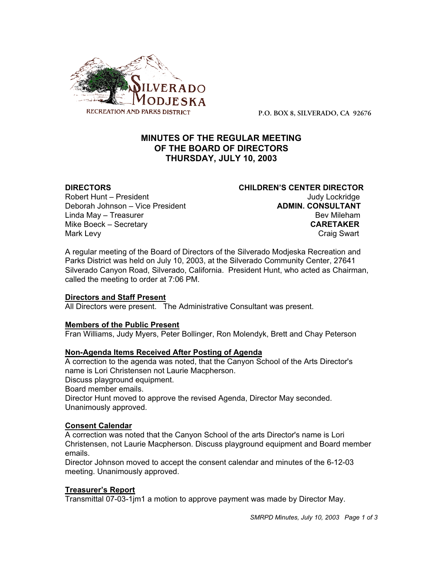

**P.O. BOX 8, SILVERADO, CA 92676**

# **MINUTES OF THE REGULAR MEETING OF THE BOARD OF DIRECTORS THURSDAY, JULY 10, 2003**

Robert Hunt – President View March 1999 and Judy Lockridge Deborah Johnson – Vice President **ADMIN. CONSULTANT** Linda May – Treasurer Bev Mileham Mike Boeck – Secretary **CARETAKER** Mark Levy **Craig Swart** 

**DIRECTORS CHILDREN'S CENTER DIRECTOR**

A regular meeting of the Board of Directors of the Silverado Modjeska Recreation and Parks District was held on July 10, 2003, at the Silverado Community Center, 27641 Silverado Canyon Road, Silverado, California. President Hunt, who acted as Chairman, called the meeting to order at 7:06 PM.

## **Directors and Staff Present**

All Directors were present. The Administrative Consultant was present.

## **Members of the Public Present**

Fran Williams, Judy Myers, Peter Bollinger, Ron Molendyk, Brett and Chay Peterson

#### **Non-Agenda Items Received After Posting of Agenda**

A correction to the agenda was noted, that the Canyon School of the Arts Director's name is Lori Christensen not Laurie Macpherson. Discuss playground equipment. Board member emails. Director Hunt moved to approve the revised Agenda, Director May seconded. Unanimously approved.

#### **Consent Calendar**

A correction was noted that the Canyon School of the arts Director's name is Lori Christensen, not Laurie Macpherson. Discuss playground equipment and Board member emails.

Director Johnson moved to accept the consent calendar and minutes of the 6-12-03 meeting. Unanimously approved.

#### **Treasurer's Report**

Transmittal 07-03-1jm1 a motion to approve payment was made by Director May.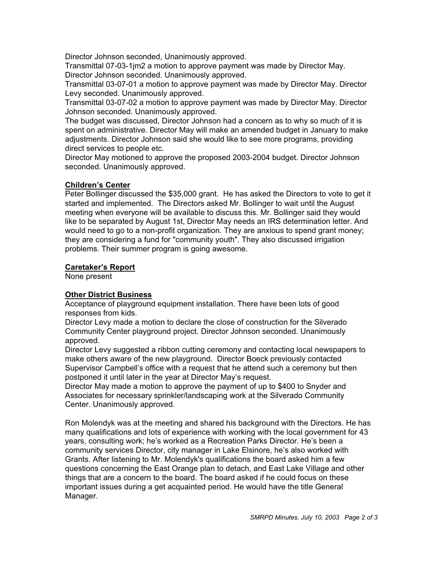Director Johnson seconded, Unanimously approved.

Transmittal 07-03-1jm2 a motion to approve payment was made by Director May. Director Johnson seconded. Unanimously approved.

Transmittal 03-07-01 a motion to approve payment was made by Director May. Director Levy seconded. Unanimously approved.

Transmittal 03-07-02 a motion to approve payment was made by Director May. Director Johnson seconded. Unanimously approved.

The budget was discussed, Director Johnson had a concern as to why so much of it is spent on administrative. Director May will make an amended budget in January to make adjustments. Director Johnson said she would like to see more programs, providing direct services to people etc.

Director May motioned to approve the proposed 2003-2004 budget. Director Johnson seconded. Unanimously approved.

## **Children's Center**

Peter Bollinger discussed the \$35,000 grant. He has asked the Directors to vote to get it started and implemented. The Directors asked Mr. Bollinger to wait until the August meeting when everyone will be available to discuss this. Mr. Bollinger said they would like to be separated by August 1st, Director May needs an IRS determination letter. And would need to go to a non-profit organization. They are anxious to spend grant money; they are considering a fund for "community youth". They also discussed irrigation problems. Their summer program is going awesome.

### **Caretaker's Report**

None present

## **Other District Business**

Acceptance of playground equipment installation. There have been lots of good responses from kids.

Director Levy made a motion to declare the close of construction for the Silverado Community Center playground project. Director Johnson seconded. Unanimously approved.

Director Levy suggested a ribbon cutting ceremony and contacting local newspapers to make others aware of the new playground. Director Boeck previously contacted Supervisor Campbell's office with a request that he attend such a ceremony but then postponed it until later in the year at Director May's request.

Director May made a motion to approve the payment of up to \$400 to Snyder and Associates for necessary sprinkler/landscaping work at the Silverado Community Center. Unanimously approved.

Ron Molendyk was at the meeting and shared his background with the Directors. He has many qualifications and lots of experience with working with the local government for 43 years, consulting work; he's worked as a Recreation Parks Director. He's been a community services Director, city manager in Lake Elsinore, he's also worked with Grants. After listening to Mr. Molendyk's qualifications the board asked him a few questions concerning the East Orange plan to detach, and East Lake Village and other things that are a concern to the board. The board asked if he could focus on these important issues during a get acquainted period. He would have the title General Manager.